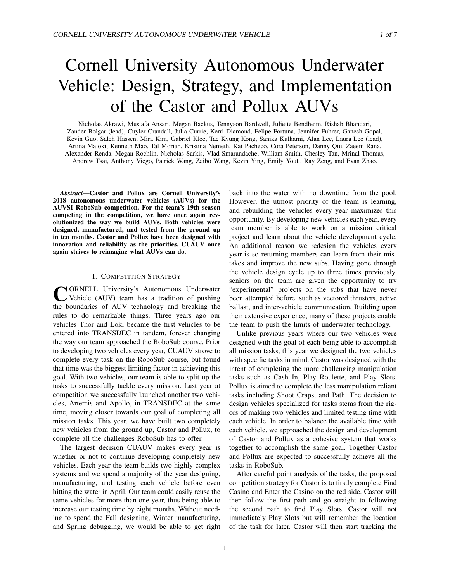# Cornell University Autonomous Underwater Vehicle: Design, Strategy, and Implementation of the Castor and Pollux AUVs

Nicholas Akrawi, Mustafa Ansari, Megan Backus, Tennyson Bardwell, Juliette Bendheim, Rishab Bhandari, Zander Bolgar (lead), Cuyler Crandall, Julia Currie, Kerri Diamond, Felipe Fortuna, Jennifer Fuhrer, Ganesh Gopal, Kevin Guo, Saleh Hassen, Mira Kim, Gabriel Klee, Tae Kyung Kong, Sanika Kulkarni, Alan Lee, Laura Lee (lead), Artina Maloki, Kenneth Mao, Tal Moriah, Kristina Nemeth, Kai Pacheco, Cora Peterson, Danny Qiu, Zaeem Rana, Alexander Renda, Megan Rochlin, Nicholas Sarkis, Vlad Smarandache, William Smith, Chesley Tan, Mrinal Thomas, Andrew Tsai, Anthony Viego, Patrick Wang, Zaibo Wang, Kevin Ying, Emily Youtt, Ray Zeng, and Evan Zhao.

*Abstract*—Castor and Pollux are Cornell University's 2018 autonomous underwater vehicles (AUVs) for the AUVSI RoboSub competition. For the team's 19th season competing in the competition, we have once again revolutionized the way we build AUVs. Both vehicles were designed, manufactured, and tested from the ground up in ten months. Castor and Pollux have been designed with innovation and reliability as the priorities. CUAUV once again strives to reimagine what AUVs can do.

### I. COMPETITION STRATEGY

**C**ORNELL University's Autonomous Underwater<br>the boundaries of AUV technology and breaking the ORNELL University's Autonomous Underwater Vehicle (AUV) team has a tradition of pushing rules to do remarkable things. Three years ago our vehicles Thor and Loki became the first vehicles to be entered into TRANSDEC in tandem, forever changing the way our team approached the RoboSub course. Prior to developing two vehicles every year, CUAUV strove to complete every task on the RoboSub course, but found that time was the biggest limiting factor in achieving this goal. With two vehicles, our team is able to split up the tasks to successfully tackle every mission. Last year at competition we successfully launched another two vehicles, Artemis and Apollo, in TRANSDEC at the same time, moving closer towards our goal of completing all mission tasks. This year, we have built two completely new vehicles from the ground up, Castor and Pollux, to complete all the challenges RoboSub has to offer.

The largest decision CUAUV makes every year is whether or not to continue developing completely new vehicles. Each year the team builds two highly complex systems and we spend a majority of the year designing, manufacturing, and testing each vehicle before even hitting the water in April. Our team could easily reuse the same vehicles for more than one year, thus being able to increase our testing time by eight months. Without needing to spend the Fall designing, Winter manufacturing, and Spring debugging, we would be able to get right back into the water with no downtime from the pool. However, the utmost priority of the team is learning, and rebuilding the vehicles every year maximizes this opportunity. By developing new vehicles each year, every team member is able to work on a mission critical project and learn about the vehicle development cycle. An additional reason we redesign the vehicles every year is so returning members can learn from their mistakes and improve the new subs. Having gone through the vehicle design cycle up to three times previously, seniors on the team are given the opportunity to try "experimental" projects on the subs that have never been attempted before, such as vectored thrusters, active ballast, and inter-vehicle communication. Building upon their extensive experience, many of these projects enable the team to push the limits of underwater technology.

Unlike previous years where our two vehicles were designed with the goal of each being able to accomplish all mission tasks, this year we designed the two vehicles with specific tasks in mind. Castor was designed with the intent of completing the more challenging manipulation tasks such as Cash In, Play Roulette, and Play Slots. Pollux is aimed to complete the less manipulation reliant tasks including Shoot Craps, and Path. The decision to design vehicles specialized for tasks stems from the rigors of making two vehicles and limited testing time with each vehicle. In order to balance the available time with each vehicle, we approached the design and development of Castor and Pollux as a cohesive system that works together to accomplish the same goal. Together Castor and Pollux are expected to successfully achieve all the tasks in RoboSub.

After careful point analysis of the tasks, the proposed competition strategy for Castor is to firstly complete Find Casino and Enter the Casino on the red side. Castor will then follow the first path and go straight to following the second path to find Play Slots. Castor will not immediately Play Slots but will remember the location of the task for later. Castor will then start tracking the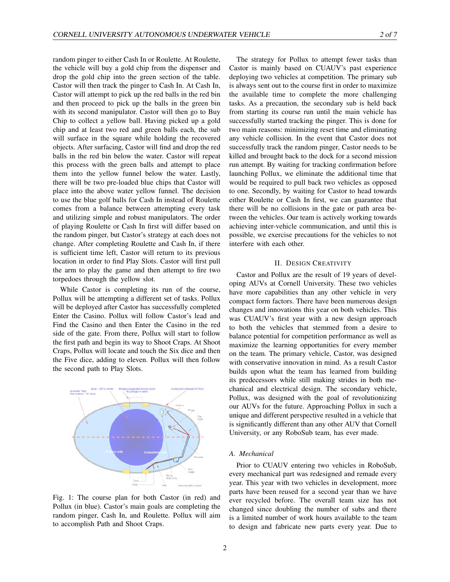random pinger to either Cash In or Roulette. At Roulette, the vehicle will buy a gold chip from the dispenser and drop the gold chip into the green section of the table. Castor will then track the pinger to Cash In. At Cash In, Castor will attempt to pick up the red balls in the red bin and then proceed to pick up the balls in the green bin with its second manipulator. Castor will then go to Buy Chip to collect a yellow ball. Having picked up a gold chip and at least two red and green balls each, the sub will surface in the square while holding the recovered objects. After surfacing, Castor will find and drop the red balls in the red bin below the water. Castor will repeat this process with the green balls and attempt to place them into the yellow funnel below the water. Lastly, there will be two pre-loaded blue chips that Castor will place into the above water yellow funnel. The decision to use the blue golf balls for Cash In instead of Roulette comes from a balance between attempting every task and utilizing simple and robust manipulators. The order of playing Roulette or Cash In first will differ based on the random pinger, but Castor's strategy at each does not change. After completing Roulette and Cash In, if there is sufficient time left, Castor will return to its previous location in order to find Play Slots. Castor will first pull the arm to play the game and then attempt to fire two torpedoes through the yellow slot.

While Castor is completing its run of the course, Pollux will be attempting a different set of tasks. Pollux will be deployed after Castor has successfully completed Enter the Casino. Pollux will follow Castor's lead and Find the Casino and then Enter the Casino in the red side of the gate. From there, Pollux will start to follow the first path and begin its way to Shoot Craps. At Shoot Craps, Pollux will locate and touch the Six dice and then the Five dice, adding to eleven. Pollux will then follow the second path to Play Slots.



Fig. 1: The course plan for both Castor (in red) and Pollux (in blue). Castor's main goals are completing the random pinger, Cash In, and Roulette. Pollux will aim to accomplish Path and Shoot Craps.

The strategy for Pollux to attempt fewer tasks than Castor is mainly based on CUAUV's past experience deploying two vehicles at competition. The primary sub is always sent out to the course first in order to maximize the available time to complete the more challenging tasks. As a precaution, the secondary sub is held back from starting its course run until the main vehicle has successfully started tracking the pinger. This is done for two main reasons: minimizing reset time and eliminating any vehicle collision. In the event that Castor does not successfully track the random pinger, Castor needs to be killed and brought back to the dock for a second mission run attempt. By waiting for tracking confirmation before launching Pollux, we eliminate the additional time that would be required to pull back two vehicles as opposed to one. Secondly, by waiting for Castor to head towards either Roulette or Cash In first, we can guarantee that there will be no collisions in the gate or path area between the vehicles. Our team is actively working towards achieving inter-vehicle communication, and until this is possible, we exercise precautions for the vehicles to not interfere with each other.

#### II. DESIGN CREATIVITY

Castor and Pollux are the result of 19 years of developing AUVs at Cornell University. These two vehicles have more capabilities than any other vehicle in very compact form factors. There have been numerous design changes and innovations this year on both vehicles. This was CUAUV's first year with a new design approach to both the vehicles that stemmed from a desire to balance potential for competition performance as well as maximize the learning opportunities for every member on the team. The primary vehicle, Castor, was designed with conservative innovation in mind. As a result Castor builds upon what the team has learned from building its predecessors while still making strides in both mechanical and electrical design. The secondary vehicle, Pollux, was designed with the goal of revolutionizing our AUVs for the future. Approaching Pollux in such a unique and different perspective resulted in a vehicle that is significantly different than any other AUV that Cornell University, or any RoboSub team, has ever made.

# *A. Mechanical*

Prior to CUAUV entering two vehicles in RoboSub, every mechanical part was redesigned and remade every year. This year with two vehicles in development, more parts have been reused for a second year than we have ever recycled before. The overall team size has not changed since doubling the number of subs and there is a limited number of work hours available to the team to design and fabricate new parts every year. Due to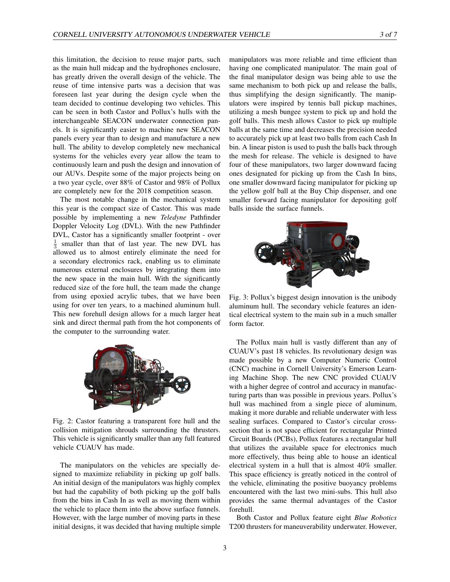this limitation, the decision to reuse major parts, such as the main hull midcap and the hydrophones enclosure, has greatly driven the overall design of the vehicle. The reuse of time intensive parts was a decision that was foreseen last year during the design cycle when the team decided to continue developing two vehicles. This can be seen in both Castor and Pollux's hulls with the interchangeable SEACON underwater connection panels. It is significantly easier to machine new SEACON panels every year than to design and manufacture a new hull. The ability to develop completely new mechanical systems for the vehicles every year allow the team to continuously learn and push the design and innovation of our AUVs. Despite some of the major projects being on a two year cycle, over 88% of Castor and 98% of Pollux are completely new for the 2018 competition season.

The most notable change in the mechanical system this year is the compact size of Castor. This was made possible by implementing a new *Teledyne* Pathfinder Doppler Velocity Log (DVL). With the new Pathfinder DVL, Castor has a significantly smaller footprint - over  $\frac{1}{3}$  smaller than that of last year. The new DVL has allowed us to almost entirely eliminate the need for a secondary electronics rack, enabling us to eliminate numerous external enclosures by integrating them into the new space in the main hull. With the significantly reduced size of the fore hull, the team made the change from using epoxied acrylic tubes, that we have been using for over ten years, to a machined aluminum hull. This new forehull design allows for a much larger heat sink and direct thermal path from the hot components of the computer to the surrounding water.



Fig. 2: Castor featuring a transparent fore hull and the collision mitigation shrouds surrounding the thrusters. This vehicle is significantly smaller than any full featured vehicle CUAUV has made.

The manipulators on the vehicles are specially designed to maximize reliability in picking up golf balls. An initial design of the manipulators was highly complex but had the capability of both picking up the golf balls from the bins in Cash In as well as moving them within the vehicle to place them into the above surface funnels. However, with the large number of moving parts in these initial designs, it was decided that having multiple simple manipulators was more reliable and time efficient than having one complicated manipulator. The main goal of the final manipulator design was being able to use the same mechanism to both pick up and release the balls, thus simplifying the design significantly. The manipulators were inspired by tennis ball pickup machines, utilizing a mesh bungee system to pick up and hold the golf balls. This mesh allows Castor to pick up multiple balls at the same time and decreases the precision needed to accurately pick up at least two balls from each Cash In bin. A linear piston is used to push the balls back through the mesh for release. The vehicle is designed to have four of these manipulators, two larger downward facing ones designated for picking up from the Cash In bins, one smaller downward facing manipulator for picking up the yellow golf ball at the Buy Chip dispenser, and one smaller forward facing manipulator for depositing golf balls inside the surface funnels.



Fig. 3: Pollux's biggest design innovation is the unibody aluminum hull. The secondary vehicle features an identical electrical system to the main sub in a much smaller form factor.

The Pollux main hull is vastly different than any of CUAUV's past 18 vehicles. Its revolutionary design was made possible by a new Computer Numeric Control (CNC) machine in Cornell University's Emerson Learning Machine Shop. The new CNC provided CUAUV with a higher degree of control and accuracy in manufacturing parts than was possible in previous years. Pollux's hull was machined from a single piece of aluminum, making it more durable and reliable underwater with less sealing surfaces. Compared to Castor's circular crosssection that is not space efficient for rectangular Printed Circuit Boards (PCBs), Pollux features a rectangular hull that utilizes the available space for electronics much more effectively, thus being able to house an identical electrical system in a hull that is almost 40% smaller. This space efficiency is greatly noticed in the control of the vehicle, eliminating the positive buoyancy problems encountered with the last two mini-subs. This hull also provides the same thermal advantages of the Castor forehull.

Both Castor and Pollux feature eight *Blue Robotics* T200 thrusters for maneuverability underwater. However,

3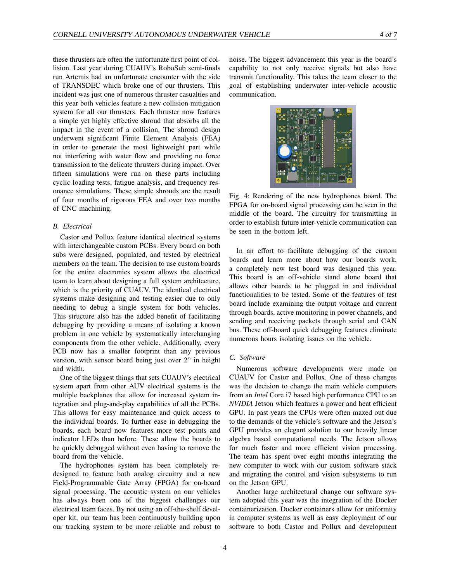these thrusters are often the unfortunate first point of collision. Last year during CUAUV's RoboSub semi-finals run Artemis had an unfortunate encounter with the side of TRANSDEC which broke one of our thrusters. This incident was just one of numerous thruster casualties and this year both vehicles feature a new collision mitigation system for all our thrusters. Each thruster now features a simple yet highly effective shroud that absorbs all the impact in the event of a collision. The shroud design underwent significant Finite Element Analysis (FEA) in order to generate the most lightweight part while not interfering with water flow and providing no force transmission to the delicate thrusters during impact. Over fifteen simulations were run on these parts including cyclic loading tests, fatigue analysis, and frequency resonance simulations. These simple shrouds are the result of four months of rigorous FEA and over two months of CNC machining.

# *B. Electrical*

Castor and Pollux feature identical electrical systems with interchangeable custom PCBs. Every board on both subs were designed, populated, and tested by electrical members on the team. The decision to use custom boards for the entire electronics system allows the electrical team to learn about designing a full system architecture, which is the priority of CUAUV. The identical electrical systems make designing and testing easier due to only needing to debug a single system for both vehicles. This structure also has the added benefit of facilitating debugging by providing a means of isolating a known problem in one vehicle by systematically interchanging components from the other vehicle. Additionally, every PCB now has a smaller footprint than any previous version, with sensor board being just over 2" in height and width.

One of the biggest things that sets CUAUV's electrical system apart from other AUV electrical systems is the multiple backplanes that allow for increased system integration and plug-and-play capabilities of all the PCBs. This allows for easy maintenance and quick access to the individual boards. To further ease in debugging the boards, each board now features more test points and indicator LEDs than before. These allow the boards to be quickly debugged without even having to remove the board from the vehicle.

The hydrophones system has been completely redesigned to feature both analog circuitry and a new Field-Programmable Gate Array (FPGA) for on-board signal processing. The acoustic system on our vehicles has always been one of the biggest challenges our electrical team faces. By not using an off-the-shelf developer kit, our team has been continuously building upon our tracking system to be more reliable and robust to

noise. The biggest advancement this year is the board's capability to not only receive signals but also have transmit functionality. This takes the team closer to the goal of establishing underwater inter-vehicle acoustic communication.



Fig. 4: Rendering of the new hydrophones board. The FPGA for on-board signal processing can be seen in the middle of the board. The circuitry for transmitting in order to establish future inter-vehicle communication can be seen in the bottom left.

In an effort to facilitate debugging of the custom boards and learn more about how our boards work, a completely new test board was designed this year. This board is an off-vehicle stand alone board that allows other boards to be plugged in and individual functionalities to be tested. Some of the features of test board include examining the output voltage and current through boards, active monitoring in power channels, and sending and receiving packets through serial and CAN bus. These off-board quick debugging features eliminate numerous hours isolating issues on the vehicle.

### *C. Software*

Numerous software developments were made on CUAUV for Castor and Pollux. One of these changes was the decision to change the main vehicle computers from an *Intel* Core i7 based high performance CPU to an *NVIDIA* Jetson which features a power and heat efficient GPU. In past years the CPUs were often maxed out due to the demands of the vehicle's software and the Jetson's GPU provides an elegant solution to our heavily linear algebra based computational needs. The Jetson allows for much faster and more efficient vision processing. The team has spent over eight months integrating the new computer to work with our custom software stack and migrating the control and vision subsystems to run on the Jetson GPU.

Another large architectural change our software system adopted this year was the integration of the Docker containerization. Docker containers allow for uniformity in computer systems as well as easy deployment of our software to both Castor and Pollux and development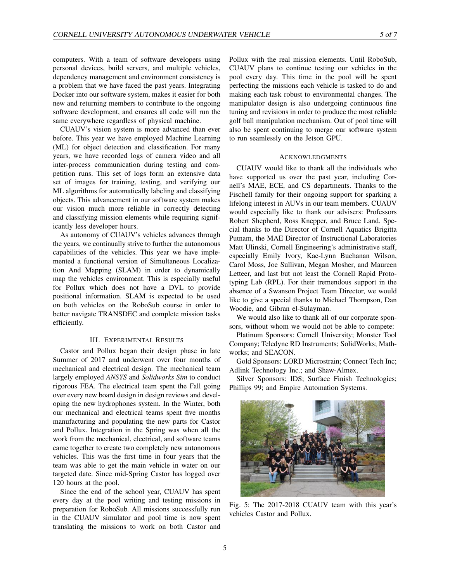computers. With a team of software developers using personal devices, build servers, and multiple vehicles, dependency management and environment consistency is a problem that we have faced the past years. Integrating Docker into our software system, makes it easier for both new and returning members to contribute to the ongoing software development, and ensures all code will run the same everywhere regardless of physical machine.

CUAUV's vision system is more advanced than ever before. This year we have employed Machine Learning (ML) for object detection and classification. For many years, we have recorded logs of camera video and all inter-process communication during testing and competition runs. This set of logs form an extensive data set of images for training, testing, and verifying our ML algorithms for automatically labeling and classifying objects. This advancement in our software system makes our vision much more reliable in correctly detecting and classifying mission elements while requiring significantly less developer hours.

As autonomy of CUAUV's vehicles advances through the years, we continually strive to further the autonomous capabilities of the vehicles. This year we have implemented a functional version of Simultaneous Localization And Mapping (SLAM) in order to dynamically map the vehicles environment. This is especially useful for Pollux which does not have a DVL to provide positional information. SLAM is expected to be used on both vehicles on the RoboSub course in order to better navigate TRANSDEC and complete mission tasks efficiently.

# III. EXPERIMENTAL RESULTS

Castor and Pollux began their design phase in late Summer of 2017 and underwent over four months of mechanical and electrical design. The mechanical team largely employed *ANSYS* and *Solidworks Sim* to conduct rigorous FEA. The electrical team spent the Fall going over every new board design in design reviews and developing the new hydrophones system. In the Winter, both our mechanical and electrical teams spent five months manufacturing and populating the new parts for Castor and Pollux. Integration in the Spring was when all the work from the mechanical, electrical, and software teams came together to create two completely new autonomous vehicles. This was the first time in four years that the team was able to get the main vehicle in water on our targeted date. Since mid-Spring Castor has logged over 120 hours at the pool.

Since the end of the school year, CUAUV has spent every day at the pool writing and testing missions in preparation for RoboSub. All missions successfully run in the CUAUV simulator and pool time is now spent translating the missions to work on both Castor and

Pollux with the real mission elements. Until RoboSub, CUAUV plans to continue testing our vehicles in the pool every day. This time in the pool will be spent perfecting the missions each vehicle is tasked to do and making each task robust to environmental changes. The manipulator design is also undergoing continuous fine tuning and revisions in order to produce the most reliable golf ball manipulation mechanism. Out of pool time will also be spent continuing to merge our software system to run seamlessly on the Jetson GPU.

#### ACKNOWLEDGMENTS

CUAUV would like to thank all the individuals who have supported us over the past year, including Cornell's MAE, ECE, and CS departments. Thanks to the Fischell family for their ongoing support for sparking a lifelong interest in AUVs in our team members. CUAUV would especially like to thank our advisers: Professors Robert Shepherd, Ross Knepper, and Bruce Land. Special thanks to the Director of Cornell Aquatics Brigitta Putnam, the MAE Director of Instructional Laboratories Matt Ulinski, Cornell Engineering's administrative staff, especially Emily Ivory, Kae-Lynn Buchanan Wilson, Carol Moss, Joe Sullivan, Megan Mosher, and Maureen Letteer, and last but not least the Cornell Rapid Prototyping Lab (RPL). For their tremendous support in the absence of a Swanson Project Team Director, we would like to give a special thanks to Michael Thompson, Dan Woodie, and Gibran el-Sulayman.

We would also like to thank all of our corporate sponsors, without whom we would not be able to compete:

Platinum Sponsors: Cornell University; Monster Tool Company; Teledyne RD Instruments; SolidWorks; Mathworks; and SEACON.

Gold Sponsors: LORD Microstrain; Connect Tech Inc; Adlink Technology Inc.; and Shaw-Almex.

Silver Sponsors: IDS; Surface Finish Technologies; Phillips 99; and Empire Automation Systems.



Fig. 5: The 2017-2018 CUAUV team with this year's vehicles Castor and Pollux.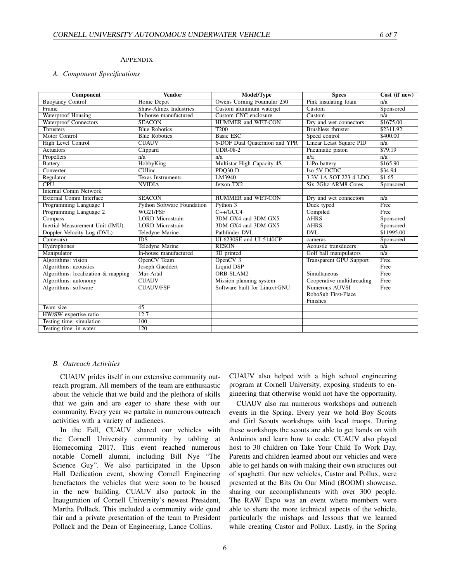# APPENDIX

# *A. Component Specifications*

| <b>Component</b>                   | <b>Vendor</b>                     | Model/Type                    | <b>Specs</b>                   | Cost (if new)    |
|------------------------------------|-----------------------------------|-------------------------------|--------------------------------|------------------|
| <b>Buoyancy Control</b>            | Home Depot                        | Owens Corning Foamular 250    | Pink insulating foam           | $\overline{n/a}$ |
| Frame                              | <b>Shaw-Almex Industries</b>      | Custom aluminum waterjet      | Custom                         | Sponsored        |
| <b>Waterproof Housing</b>          | In-house manufactured             | <b>Custom CNC</b> enclosure   | Custom                         | $\overline{n/a}$ |
| <b>Waterproof Connectors</b>       | <b>SEACON</b>                     | <b>HUMMER</b> and WET-CON     | Dry and wet connectors         | \$1675.00        |
| <b>Thrusters</b>                   | <b>Blue Robotics</b>              | T <sub>200</sub>              | <b>Brushless thruster</b>      | \$2311.92        |
| Motor Control                      | <b>Blue Robotics</b>              | <b>Basic ESC</b>              | Speed control                  | \$400.00         |
| <b>High Level Control</b>          | <b>CUAUV</b>                      | 6-DOF Dual Quaternion and YPR | <b>Linear Least Square PID</b> | $\overline{n/a}$ |
| <b>Actuators</b>                   | Clippard                          | $UDR-08-2$                    | Pneumatic piston               | \$79.19          |
| Propellers                         | n/a                               | $\overline{n/a}$              | n/a                            | n/a              |
| <b>Battery</b>                     | HobbyKing                         | Multistar High Capacity 4S    | LiPo battery                   | \$165.90         |
| Converter                          | $CL$ <i>Tinc</i>                  | $PDO30-D$                     | Iso 5V DCDC                    | \$34.94          |
| Regulator                          | <b>Texas Instruments</b>          | LM3940                        | 3.3V 1A SOT-223-4 LDO          | \$1.65           |
| $\overline{\text{CPU}}$            | <b>NVIDIA</b>                     | Jetson TX2                    | Six 2Ghz ARM8 Cores            | Sponsored        |
| <b>Internal Comm Network</b>       |                                   |                               |                                |                  |
| <b>External Comm Interface</b>     | <b>SEACON</b>                     | <b>HUMMER</b> and WET-CON     | Dry and wet connectors         | n/a              |
| Programming Language 1             | <b>Python Software Foundation</b> | Python 3                      | Duck typed                     | Free             |
| Programming Language 2             | WG21/FSF                          | $C++/GCC4$                    | Compiled                       | Free             |
| Compass                            | <b>LORD</b> Microstrain           | 3DM-GX4 and 3DM-GX5           | <b>AHRS</b>                    | Sponsored        |
| Inertial Measurement Unit (IMU)    | <b>LORD</b> Microstrain           | 3DM-GX4 and 3DM-GX5           | <b>AHRS</b>                    | Sponsored        |
| Doppler Velocity Log (DVL)         | <b>Teledyne Marine</b>            | Pathfinder DVL                | <b>DVL</b>                     | \$11995.00       |
| Camera(s)                          | $\overline{\text{IDS}}$           | UI-6230SE and UI-5140CP       | cameras                        | Sponsored        |
| Hydrophones                        | Teledyne Marine                   | <b>RESON</b>                  | Acoustic transducers           | n/a              |
| Manipulator                        | In-house manufactured             | 3D printed                    | Golf ball manipulators         | n/a              |
| Algorithms: vision                 | OpenCV Team                       | OpenCV <sub>3</sub>           | <b>Transparent GPU Support</b> | Free             |
| Algorithms: acoustics              | Joseph Gaeddert                   | Liquid DSP                    |                                | Free             |
| Algorithms: localization & mapping | Mur-Artal                         | ORB-SLAM2                     | Simultaneous                   | Free             |
| Algorithms: autonomy               | <b>CUAUV</b>                      | Mission planning system       | Cooperative multithreading     | Free             |
| Algorithms: software               | <b>CUAUV/FSF</b>                  | Software built for Linux+GNU  | Numerous AUVSI                 | Free             |
|                                    |                                   |                               | RoboSub First-Place            |                  |
|                                    |                                   |                               | Finishes                       |                  |
| Team size                          | 45                                |                               |                                |                  |
| HW/SW expertise ratio              | 12:7                              |                               |                                |                  |
| Testing time: simulation           | 100                               |                               |                                |                  |
| Testing time: in-water             | 120                               |                               |                                |                  |

# *B. Outreach Activities*

CUAUV prides itself in our extensive community outreach program. All members of the team are enthusiastic about the vehicle that we build and the plethora of skills that we gain and are eager to share these with our community. Every year we partake in numerous outreach activities with a variety of audiences.

In the Fall, CUAUV shared our vehicles with the Cornell University community by tabling at Homecoming 2017. This event reached numerous notable Cornell alumni, including Bill Nye "The Science Guy". We also participated in the Upson Hall Dedication event, showing Cornell Engineering benefactors the vehicles that were soon to be housed in the new building. CUAUV also partook in the Inauguration of Cornell University's newest President, Martha Pollack. This included a community wide quad fair and a private presentation of the team to President Pollack and the Dean of Engineering, Lance Collins.

CUAUV also helped with a high school engineering program at Cornell University, exposing students to engineering that otherwise would not have the opportunity.

CUAUV also ran numerous workshops and outreach events in the Spring. Every year we hold Boy Scouts and Girl Scouts workshops with local troops. During these workshops the scouts are able to get hands on with Arduinos and learn how to code. CUAUV also played host to 30 children on Take Your Child To Work Day. Parents and children learned about our vehicles and were able to get hands on with making their own structures out of spaghetti. Our new vehicles, Castor and Pollux, were presented at the Bits On Our Mind (BOOM) showcase, sharing our accomplishments with over 300 people. The RAW Expo was an event where members were able to share the more technical aspects of the vehicle, particularly the mishaps and lessons that we learned while creating Castor and Pollux. Lastly, in the Spring